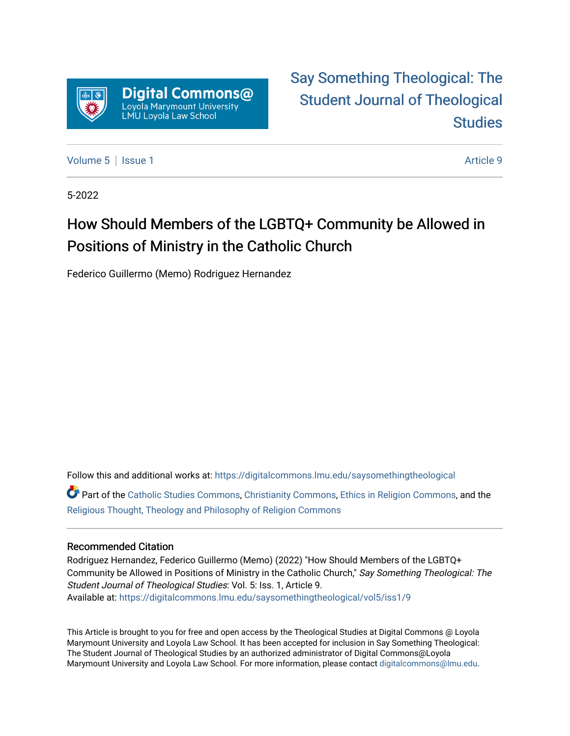

# [Say Something Theological: The](https://digitalcommons.lmu.edu/saysomethingtheological)  [Student Journal of Theological](https://digitalcommons.lmu.edu/saysomethingtheological)  **Studies**

[Volume 5](https://digitalcommons.lmu.edu/saysomethingtheological/vol5) | [Issue 1](https://digitalcommons.lmu.edu/saysomethingtheological/vol5/iss1) Article 9

5-2022

# How Should Members of the LGBTQ+ Community be Allowed in Positions of Ministry in the Catholic Church

Federico Guillermo (Memo) Rodriguez Hernandez

Follow this and additional works at: [https://digitalcommons.lmu.edu/saysomethingtheological](https://digitalcommons.lmu.edu/saysomethingtheological?utm_source=digitalcommons.lmu.edu%2Fsaysomethingtheological%2Fvol5%2Fiss1%2F9&utm_medium=PDF&utm_campaign=PDFCoverPages) Part of the [Catholic Studies Commons](http://network.bepress.com/hgg/discipline/1294?utm_source=digitalcommons.lmu.edu%2Fsaysomethingtheological%2Fvol5%2Fiss1%2F9&utm_medium=PDF&utm_campaign=PDFCoverPages), [Christianity Commons](http://network.bepress.com/hgg/discipline/1181?utm_source=digitalcommons.lmu.edu%2Fsaysomethingtheological%2Fvol5%2Fiss1%2F9&utm_medium=PDF&utm_campaign=PDFCoverPages), [Ethics in Religion Commons,](http://network.bepress.com/hgg/discipline/541?utm_source=digitalcommons.lmu.edu%2Fsaysomethingtheological%2Fvol5%2Fiss1%2F9&utm_medium=PDF&utm_campaign=PDFCoverPages) and the

[Religious Thought, Theology and Philosophy of Religion Commons](http://network.bepress.com/hgg/discipline/544?utm_source=digitalcommons.lmu.edu%2Fsaysomethingtheological%2Fvol5%2Fiss1%2F9&utm_medium=PDF&utm_campaign=PDFCoverPages) 

#### Recommended Citation

Rodriguez Hernandez, Federico Guillermo (Memo) (2022) "How Should Members of the LGBTQ+ Community be Allowed in Positions of Ministry in the Catholic Church," Say Something Theological: The Student Journal of Theological Studies: Vol. 5: Iss. 1, Article 9. Available at: [https://digitalcommons.lmu.edu/saysomethingtheological/vol5/iss1/9](https://digitalcommons.lmu.edu/saysomethingtheological/vol5/iss1/9?utm_source=digitalcommons.lmu.edu%2Fsaysomethingtheological%2Fvol5%2Fiss1%2F9&utm_medium=PDF&utm_campaign=PDFCoverPages) 

This Article is brought to you for free and open access by the Theological Studies at Digital Commons @ Loyola Marymount University and Loyola Law School. It has been accepted for inclusion in Say Something Theological: The Student Journal of Theological Studies by an authorized administrator of Digital Commons@Loyola Marymount University and Loyola Law School. For more information, please contact [digitalcommons@lmu.edu](mailto:digitalcommons@lmu.edu).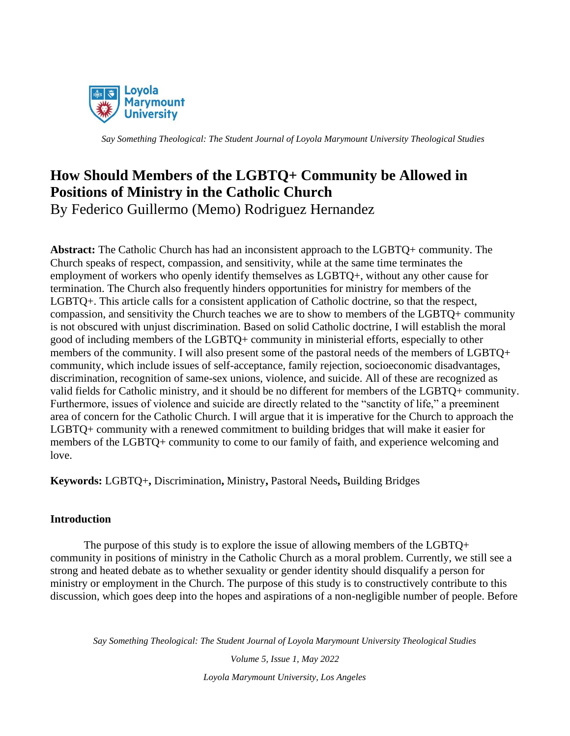

# **How Should Members of the LGBTQ+ Community be Allowed in Positions of Ministry in the Catholic Church**

By Federico Guillermo (Memo) Rodriguez Hernandez

**Abstract:** The Catholic Church has had an inconsistent approach to the LGBTQ+ community. The Church speaks of respect, compassion, and sensitivity, while at the same time terminates the employment of workers who openly identify themselves as LGBTQ+, without any other cause for termination. The Church also frequently hinders opportunities for ministry for members of the LGBTQ+. This article calls for a consistent application of Catholic doctrine, so that the respect, compassion, and sensitivity the Church teaches we are to show to members of the LGBTQ+ community is not obscured with unjust discrimination. Based on solid Catholic doctrine, I will establish the moral good of including members of the LGBTQ+ community in ministerial efforts, especially to other members of the community. I will also present some of the pastoral needs of the members of LGBTQ+ community, which include issues of self-acceptance, family rejection, socioeconomic disadvantages, discrimination, recognition of same-sex unions, violence, and suicide. All of these are recognized as valid fields for Catholic ministry, and it should be no different for members of the LGBTQ+ community. Furthermore, issues of violence and suicide are directly related to the "sanctity of life," a preeminent area of concern for the Catholic Church. I will argue that it is imperative for the Church to approach the LGBTQ+ community with a renewed commitment to building bridges that will make it easier for members of the LGBTQ+ community to come to our family of faith, and experience welcoming and love.

**Keywords:** LGBTQ+**,** Discrimination**,** Ministry**,** Pastoral Needs**,** Building Bridges

# **Introduction**

The purpose of this study is to explore the issue of allowing members of the LGBTQ+ community in positions of ministry in the Catholic Church as a moral problem. Currently, we still see a strong and heated debate as to whether sexuality or gender identity should disqualify a person for ministry or employment in the Church. The purpose of this study is to constructively contribute to this discussion, which goes deep into the hopes and aspirations of a non-negligible number of people. Before

*Say Something Theological: The Student Journal of Loyola Marymount University Theological Studies*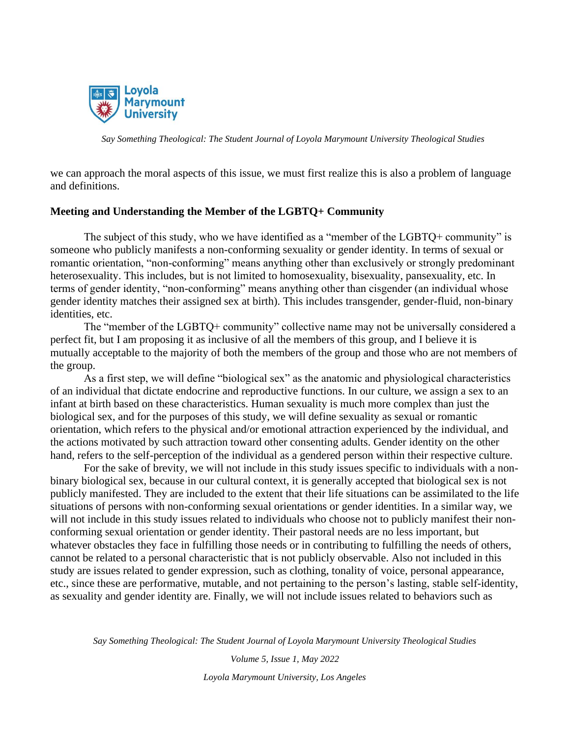

we can approach the moral aspects of this issue, we must first realize this is also a problem of language and definitions.

#### **Meeting and Understanding the Member of the LGBTQ+ Community**

The subject of this study, who we have identified as a "member of the LGBTQ+ community" is someone who publicly manifests a non-conforming sexuality or gender identity. In terms of sexual or romantic orientation, "non-conforming" means anything other than exclusively or strongly predominant heterosexuality. This includes, but is not limited to homosexuality, bisexuality, pansexuality, etc. In terms of gender identity, "non-conforming" means anything other than cisgender (an individual whose gender identity matches their assigned sex at birth). This includes transgender, gender-fluid, non-binary identities, etc.

The "member of the LGBTQ+ community" collective name may not be universally considered a perfect fit, but I am proposing it as inclusive of all the members of this group, and I believe it is mutually acceptable to the majority of both the members of the group and those who are not members of the group.

As a first step, we will define "biological sex" as the anatomic and physiological characteristics of an individual that dictate endocrine and reproductive functions. In our culture, we assign a sex to an infant at birth based on these characteristics. Human sexuality is much more complex than just the biological sex, and for the purposes of this study, we will define sexuality as sexual or romantic orientation, which refers to the physical and/or emotional attraction experienced by the individual, and the actions motivated by such attraction toward other consenting adults. Gender identity on the other hand, refers to the self-perception of the individual as a gendered person within their respective culture.

For the sake of brevity, we will not include in this study issues specific to individuals with a nonbinary biological sex, because in our cultural context, it is generally accepted that biological sex is not publicly manifested. They are included to the extent that their life situations can be assimilated to the life situations of persons with non-conforming sexual orientations or gender identities. In a similar way, we will not include in this study issues related to individuals who choose not to publicly manifest their nonconforming sexual orientation or gender identity. Their pastoral needs are no less important, but whatever obstacles they face in fulfilling those needs or in contributing to fulfilling the needs of others, cannot be related to a personal characteristic that is not publicly observable. Also not included in this study are issues related to gender expression, such as clothing, tonality of voice, personal appearance, etc., since these are performative, mutable, and not pertaining to the person's lasting, stable self-identity, as sexuality and gender identity are. Finally, we will not include issues related to behaviors such as

*Say Something Theological: The Student Journal of Loyola Marymount University Theological Studies*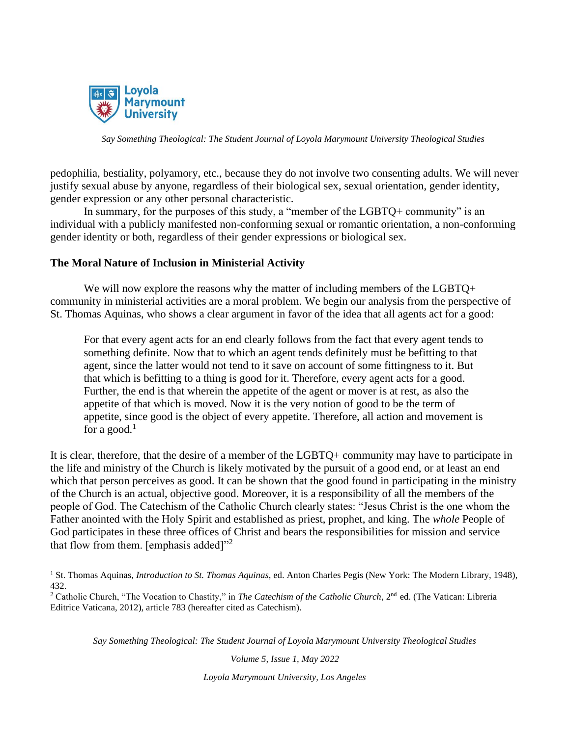

pedophilia, bestiality, polyamory, etc., because they do not involve two consenting adults. We will never justify sexual abuse by anyone, regardless of their biological sex, sexual orientation, gender identity, gender expression or any other personal characteristic.

In summary, for the purposes of this study, a "member of the LGBTQ+ community" is an individual with a publicly manifested non-conforming sexual or romantic orientation, a non-conforming gender identity or both, regardless of their gender expressions or biological sex.

## **The Moral Nature of Inclusion in Ministerial Activity**

We will now explore the reasons why the matter of including members of the LGBTQ+ community in ministerial activities are a moral problem. We begin our analysis from the perspective of St. Thomas Aquinas, who shows a clear argument in favor of the idea that all agents act for a good:

For that every agent acts for an end clearly follows from the fact that every agent tends to something definite. Now that to which an agent tends definitely must be befitting to that agent, since the latter would not tend to it save on account of some fittingness to it. But that which is befitting to a thing is good for it. Therefore, every agent acts for a good. Further, the end is that wherein the appetite of the agent or mover is at rest, as also the appetite of that which is moved. Now it is the very notion of good to be the term of appetite, since good is the object of every appetite. Therefore, all action and movement is for a good.<sup>1</sup>

It is clear, therefore, that the desire of a member of the LGBTQ+ community may have to participate in the life and ministry of the Church is likely motivated by the pursuit of a good end, or at least an end which that person perceives as good. It can be shown that the good found in participating in the ministry of the Church is an actual, objective good. Moreover, it is a responsibility of all the members of the people of God. The Catechism of the Catholic Church clearly states: "Jesus Christ is the one whom the Father anointed with the Holy Spirit and established as priest, prophet, and king. The *whole* People of God participates in these three offices of Christ and bears the responsibilities for mission and service that flow from them. [emphasis added] $"^2$ 

*Say Something Theological: The Student Journal of Loyola Marymount University Theological Studies*

*Volume 5, Issue 1, May 2022*

<sup>&</sup>lt;sup>1</sup> St. Thomas Aquinas, *Introduction to St. Thomas Aquinas*, ed. Anton Charles Pegis (New York: The Modern Library, 1948), 432.

<sup>&</sup>lt;sup>2</sup> Catholic Church, "The Vocation to Chastity," in *The Catechism of the Catholic Church*, 2<sup>nd</sup> ed. (The Vatican: Libreria Editrice Vaticana, 2012), article 783 (hereafter cited as Catechism).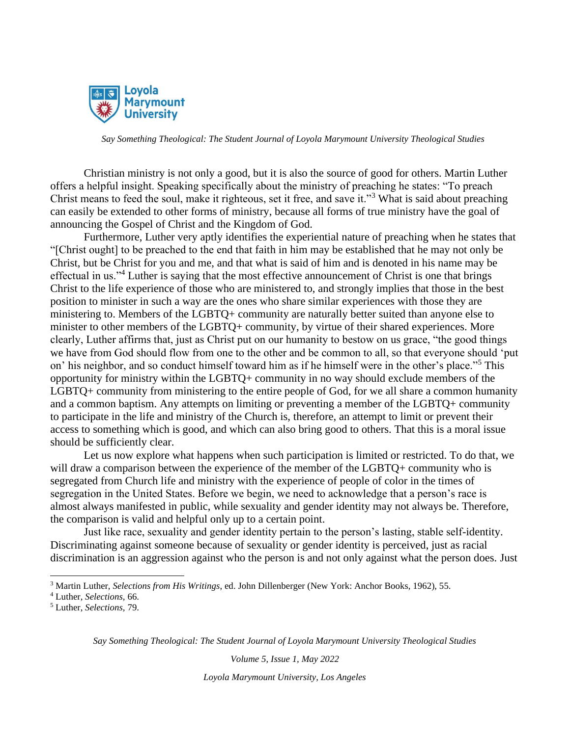

Christian ministry is not only a good, but it is also the source of good for others. Martin Luther offers a helpful insight. Speaking specifically about the ministry of preaching he states: "To preach Christ means to feed the soul, make it righteous, set it free, and save it."<sup>3</sup> What is said about preaching can easily be extended to other forms of ministry, because all forms of true ministry have the goal of announcing the Gospel of Christ and the Kingdom of God.

Furthermore, Luther very aptly identifies the experiential nature of preaching when he states that "[Christ ought] to be preached to the end that faith in him may be established that he may not only be Christ, but be Christ for you and me, and that what is said of him and is denoted in his name may be effectual in us."<sup>4</sup> Luther is saying that the most effective announcement of Christ is one that brings Christ to the life experience of those who are ministered to, and strongly implies that those in the best position to minister in such a way are the ones who share similar experiences with those they are ministering to. Members of the LGBTQ+ community are naturally better suited than anyone else to minister to other members of the LGBTQ+ community, by virtue of their shared experiences. More clearly, Luther affirms that, just as Christ put on our humanity to bestow on us grace, "the good things we have from God should flow from one to the other and be common to all, so that everyone should 'put on' his neighbor, and so conduct himself toward him as if he himself were in the other's place."<sup>5</sup> This opportunity for ministry within the LGBTQ+ community in no way should exclude members of the LGBTQ+ community from ministering to the entire people of God, for we all share a common humanity and a common baptism. Any attempts on limiting or preventing a member of the LGBTQ+ community to participate in the life and ministry of the Church is, therefore, an attempt to limit or prevent their access to something which is good, and which can also bring good to others. That this is a moral issue should be sufficiently clear.

Let us now explore what happens when such participation is limited or restricted. To do that, we will draw a comparison between the experience of the member of the LGBTQ+ community who is segregated from Church life and ministry with the experience of people of color in the times of segregation in the United States. Before we begin, we need to acknowledge that a person's race is almost always manifested in public, while sexuality and gender identity may not always be. Therefore, the comparison is valid and helpful only up to a certain point.

Just like race, sexuality and gender identity pertain to the person's lasting, stable self-identity. Discriminating against someone because of sexuality or gender identity is perceived, just as racial discrimination is an aggression against who the person is and not only against what the person does. Just

*Say Something Theological: The Student Journal of Loyola Marymount University Theological Studies*

*Volume 5, Issue 1, May 2022*

<sup>3</sup> Martin Luther, *Selections from His Writings*, ed. John Dillenberger (New York: Anchor Books, 1962), 55.

<sup>4</sup> Luther, *Selections,* 66.

<sup>5</sup> Luther, *Selections,* 79.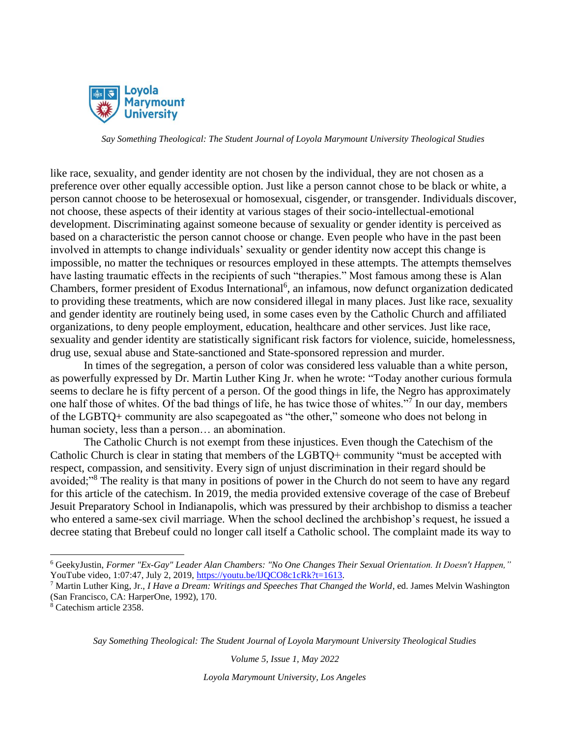

like race, sexuality, and gender identity are not chosen by the individual, they are not chosen as a preference over other equally accessible option. Just like a person cannot chose to be black or white, a person cannot choose to be heterosexual or homosexual, cisgender, or transgender. Individuals discover, not choose, these aspects of their identity at various stages of their socio-intellectual-emotional development. Discriminating against someone because of sexuality or gender identity is perceived as based on a characteristic the person cannot choose or change. Even people who have in the past been involved in attempts to change individuals' sexuality or gender identity now accept this change is impossible, no matter the techniques or resources employed in these attempts. The attempts themselves have lasting traumatic effects in the recipients of such "therapies." Most famous among these is Alan Chambers, former president of Exodus International<sup>6</sup>, an infamous, now defunct organization dedicated to providing these treatments, which are now considered illegal in many places. Just like race, sexuality and gender identity are routinely being used, in some cases even by the Catholic Church and affiliated organizations, to deny people employment, education, healthcare and other services. Just like race, sexuality and gender identity are statistically significant risk factors for violence, suicide, homelessness, drug use, sexual abuse and State-sanctioned and State-sponsored repression and murder.

In times of the segregation, a person of color was considered less valuable than a white person, as powerfully expressed by Dr. Martin Luther King Jr. when he wrote: "Today another curious formula seems to declare he is fifty percent of a person. Of the good things in life, the Negro has approximately one half those of whites. Of the bad things of life, he has twice those of whites."<sup>7</sup> In our day, members of the LGBTQ+ community are also scapegoated as "the other," someone who does not belong in human society, less than a person… an abomination.

The Catholic Church is not exempt from these injustices. Even though the Catechism of the Catholic Church is clear in stating that members of the LGBTQ+ community "must be accepted with respect, compassion, and sensitivity. Every sign of unjust discrimination in their regard should be avoided;"<sup>8</sup> The reality is that many in positions of power in the Church do not seem to have any regard for this article of the catechism. In 2019, the media provided extensive coverage of the case of Brebeuf Jesuit Preparatory School in Indianapolis, which was pressured by their archbishop to dismiss a teacher who entered a same-sex civil marriage. When the school declined the archbishop's request, he issued a decree stating that Brebeuf could no longer call itself a Catholic school. The complaint made its way to

*Say Something Theological: The Student Journal of Loyola Marymount University Theological Studies*

*Volume 5, Issue 1, May 2022*

<sup>6</sup> GeekyJustin, *Former "Ex-Gay" Leader Alan Chambers: "No One Changes Their Sexual Orientation. It Doesn't Happen,"* YouTube video, 1:07:47, July 2, 2019, https://youtu.be/IJQCO8c1cRk?t=1613.

<sup>7</sup> Martin Luther King, Jr., *I Have a Dream: Writings and Speeches That Changed the World*, ed. James Melvin Washington (San Francisco, CA: HarperOne, 1992), 170.

<sup>8</sup> Catechism article 2358.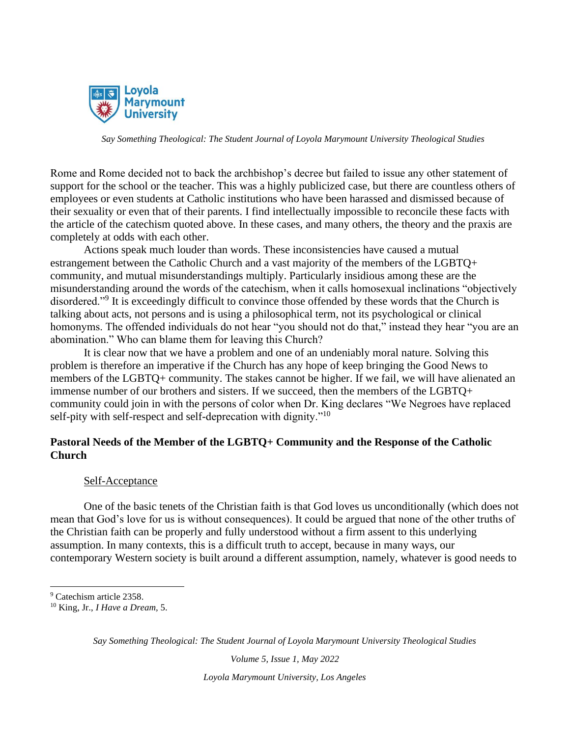

Rome and Rome decided not to back the archbishop's decree but failed to issue any other statement of support for the school or the teacher. This was a highly publicized case, but there are countless others of employees or even students at Catholic institutions who have been harassed and dismissed because of their sexuality or even that of their parents. I find intellectually impossible to reconcile these facts with the article of the catechism quoted above. In these cases, and many others, the theory and the praxis are completely at odds with each other.

Actions speak much louder than words. These inconsistencies have caused a mutual estrangement between the Catholic Church and a vast majority of the members of the LGBTQ+ community, and mutual misunderstandings multiply. Particularly insidious among these are the misunderstanding around the words of the catechism, when it calls homosexual inclinations "objectively disordered."<sup>9</sup> It is exceedingly difficult to convince those offended by these words that the Church is talking about acts, not persons and is using a philosophical term, not its psychological or clinical homonyms. The offended individuals do not hear "you should not do that," instead they hear "you are an abomination." Who can blame them for leaving this Church?

It is clear now that we have a problem and one of an undeniably moral nature. Solving this problem is therefore an imperative if the Church has any hope of keep bringing the Good News to members of the LGBTQ+ community. The stakes cannot be higher. If we fail, we will have alienated an immense number of our brothers and sisters. If we succeed, then the members of the LGBTQ+ community could join in with the persons of color when Dr. King declares "We Negroes have replaced self-pity with self-respect and self-deprecation with dignity."<sup>10</sup>

## **Pastoral Needs of the Member of the LGBTQ+ Community and the Response of the Catholic Church**

#### Self-Acceptance

One of the basic tenets of the Christian faith is that God loves us unconditionally (which does not mean that God's love for us is without consequences). It could be argued that none of the other truths of the Christian faith can be properly and fully understood without a firm assent to this underlying assumption. In many contexts, this is a difficult truth to accept, because in many ways, our contemporary Western society is built around a different assumption, namely, whatever is good needs to

*Say Something Theological: The Student Journal of Loyola Marymount University Theological Studies*

*Volume 5, Issue 1, May 2022*

<sup>&</sup>lt;sup>9</sup> Catechism article 2358.

<sup>10</sup> King, Jr., *I Have a Dream,* 5.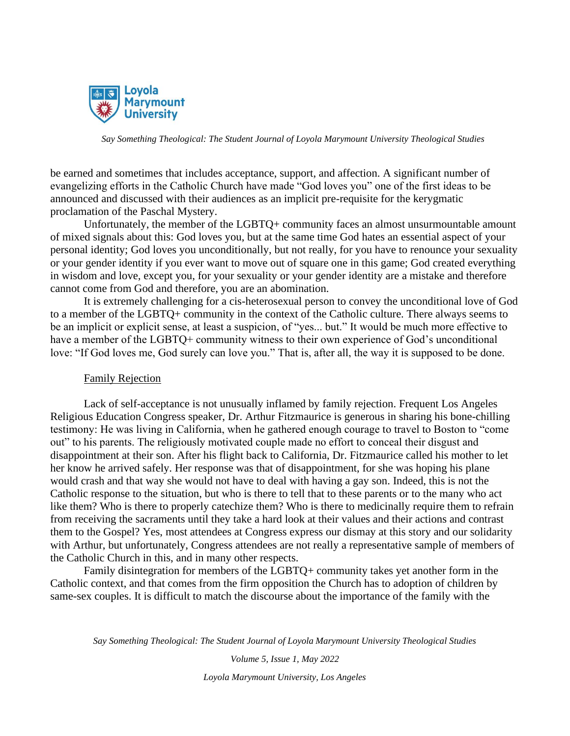

be earned and sometimes that includes acceptance, support, and affection. A significant number of evangelizing efforts in the Catholic Church have made "God loves you" one of the first ideas to be announced and discussed with their audiences as an implicit pre-requisite for the kerygmatic proclamation of the Paschal Mystery.

Unfortunately, the member of the LGBTQ+ community faces an almost unsurmountable amount of mixed signals about this: God loves you, but at the same time God hates an essential aspect of your personal identity; God loves you unconditionally, but not really, for you have to renounce your sexuality or your gender identity if you ever want to move out of square one in this game; God created everything in wisdom and love, except you, for your sexuality or your gender identity are a mistake and therefore cannot come from God and therefore, you are an abomination.

It is extremely challenging for a cis-heterosexual person to convey the unconditional love of God to a member of the LGBTQ+ community in the context of the Catholic culture. There always seems to be an implicit or explicit sense, at least a suspicion, of "yes... but." It would be much more effective to have a member of the LGBTQ+ community witness to their own experience of God's unconditional love: "If God loves me, God surely can love you." That is, after all, the way it is supposed to be done.

#### Family Rejection

Lack of self-acceptance is not unusually inflamed by family rejection. Frequent Los Angeles Religious Education Congress speaker, Dr. Arthur Fitzmaurice is generous in sharing his bone-chilling testimony: He was living in California, when he gathered enough courage to travel to Boston to "come out" to his parents. The religiously motivated couple made no effort to conceal their disgust and disappointment at their son. After his flight back to California, Dr. Fitzmaurice called his mother to let her know he arrived safely. Her response was that of disappointment, for she was hoping his plane would crash and that way she would not have to deal with having a gay son. Indeed, this is not the Catholic response to the situation, but who is there to tell that to these parents or to the many who act like them? Who is there to properly catechize them? Who is there to medicinally require them to refrain from receiving the sacraments until they take a hard look at their values and their actions and contrast them to the Gospel? Yes, most attendees at Congress express our dismay at this story and our solidarity with Arthur, but unfortunately, Congress attendees are not really a representative sample of members of the Catholic Church in this, and in many other respects.

Family disintegration for members of the LGBTQ+ community takes yet another form in the Catholic context, and that comes from the firm opposition the Church has to adoption of children by same-sex couples. It is difficult to match the discourse about the importance of the family with the

*Say Something Theological: The Student Journal of Loyola Marymount University Theological Studies*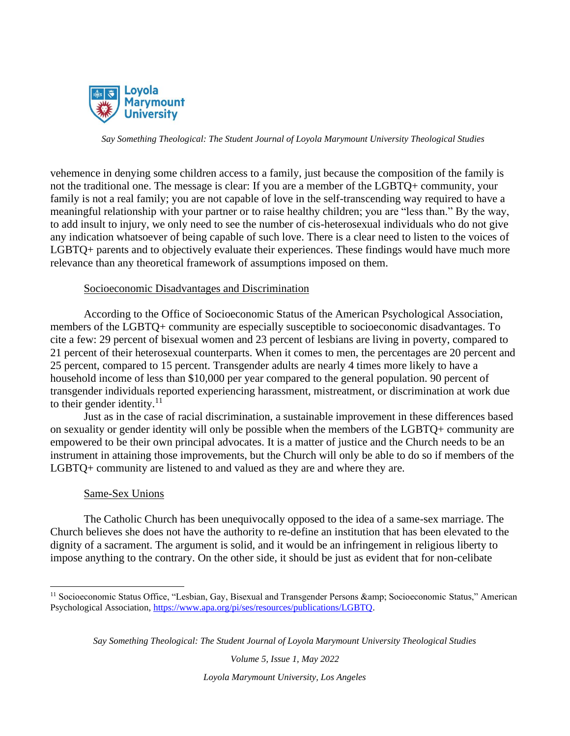

vehemence in denying some children access to a family, just because the composition of the family is not the traditional one. The message is clear: If you are a member of the LGBTQ+ community, your family is not a real family; you are not capable of love in the self-transcending way required to have a meaningful relationship with your partner or to raise healthy children; you are "less than." By the way, to add insult to injury, we only need to see the number of cis-heterosexual individuals who do not give any indication whatsoever of being capable of such love. There is a clear need to listen to the voices of LGBTQ+ parents and to objectively evaluate their experiences. These findings would have much more relevance than any theoretical framework of assumptions imposed on them.

#### Socioeconomic Disadvantages and Discrimination

According to the Office of Socioeconomic Status of the American Psychological Association, members of the LGBTQ+ community are especially susceptible to socioeconomic disadvantages. To cite a few: 29 percent of bisexual women and 23 percent of lesbians are living in poverty, compared to 21 percent of their heterosexual counterparts. When it comes to men, the percentages are 20 percent and 25 percent, compared to 15 percent. Transgender adults are nearly 4 times more likely to have a household income of less than \$10,000 per year compared to the general population. 90 percent of transgender individuals reported experiencing harassment, mistreatment, or discrimination at work due to their gender identity. $11$ 

Just as in the case of racial discrimination, a sustainable improvement in these differences based on sexuality or gender identity will only be possible when the members of the LGBTQ+ community are empowered to be their own principal advocates. It is a matter of justice and the Church needs to be an instrument in attaining those improvements, but the Church will only be able to do so if members of the LGBTQ+ community are listened to and valued as they are and where they are.

#### Same-Sex Unions

The Catholic Church has been unequivocally opposed to the idea of a same-sex marriage. The Church believes she does not have the authority to re-define an institution that has been elevated to the dignity of a sacrament. The argument is solid, and it would be an infringement in religious liberty to impose anything to the contrary. On the other side, it should be just as evident that for non-celibate

*Say Something Theological: The Student Journal of Loyola Marymount University Theological Studies*

*Volume 5, Issue 1, May 2022*

<sup>&</sup>lt;sup>11</sup> Socioeconomic Status Office, "Lesbian, Gay, Bisexual and Transgender Persons & amp; Socioeconomic Status," American Psychological Association, [https://www.apa.org/pi/ses/resources/publications/LGBTQ.](https://www.apa.org/pi/ses/resources/publications/lgbt)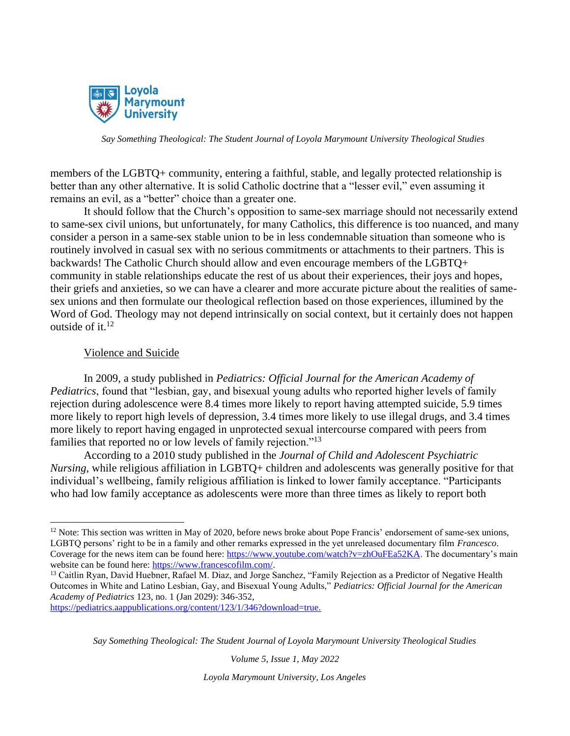

members of the LGBTQ+ community, entering a faithful, stable, and legally protected relationship is better than any other alternative. It is solid Catholic doctrine that a "lesser evil," even assuming it remains an evil, as a "better" choice than a greater one.

It should follow that the Church's opposition to same-sex marriage should not necessarily extend to same-sex civil unions, but unfortunately, for many Catholics, this difference is too nuanced, and many consider a person in a same-sex stable union to be in less condemnable situation than someone who is routinely involved in casual sex with no serious commitments or attachments to their partners. This is backwards! The Catholic Church should allow and even encourage members of the LGBTQ+ community in stable relationships educate the rest of us about their experiences, their joys and hopes, their griefs and anxieties, so we can have a clearer and more accurate picture about the realities of samesex unions and then formulate our theological reflection based on those experiences, illumined by the Word of God. Theology may not depend intrinsically on social context, but it certainly does not happen outside of it. $12$ 

#### Violence and Suicide

In 2009, a study published in *Pediatrics: Official Journal for the American Academy of Pediatrics*, found that "lesbian, gay, and bisexual young adults who reported higher levels of family rejection during adolescence were 8.4 times more likely to report having attempted suicide, 5.9 times more likely to report high levels of depression, 3.4 times more likely to use illegal drugs, and 3.4 times more likely to report having engaged in unprotected sexual intercourse compared with peers from families that reported no or low levels of family rejection."<sup>13</sup>

According to a 2010 study published in the *Journal of Child and Adolescent Psychiatric Nursing*, while religious affiliation in LGBTQ+ children and adolescents was generally positive for that individual's wellbeing, family religious affiliation is linked to lower family acceptance. "Participants who had low family acceptance as adolescents were more than three times as likely to report both

*Say Something Theological: The Student Journal of Loyola Marymount University Theological Studies*

*Volume 5, Issue 1, May 2022*

 $12$  Note: This section was written in May of 2020, before news broke about Pope Francis' endorsement of same-sex unions, LGBTQ persons' right to be in a family and other remarks expressed in the yet unreleased documentary film *Francesco*. Coverage for the news item can be found here[: https://www.youtube.com/watch?v=zhOuFEa52KA.](https://www.youtube.com/watch?v=zhOuFEa52KA) The documentary's main website can be found here[: https://www.francescofilm.com/.](https://www.francescofilm.com/)

<sup>&</sup>lt;sup>13</sup> Caitlin Ryan, David Huebner, Rafael M. Diaz, and Jorge Sanchez, "Family Rejection as a Predictor of Negative Health Outcomes in White and Latino Lesbian, Gay, and Bisexual Young Adults," *Pediatrics: Official Journal for the American Academy of Pediatrics* 123, no. 1 (Jan 2029): 346-352,

<https://pediatrics.aappublications.org/content/123/1/346?download=true.>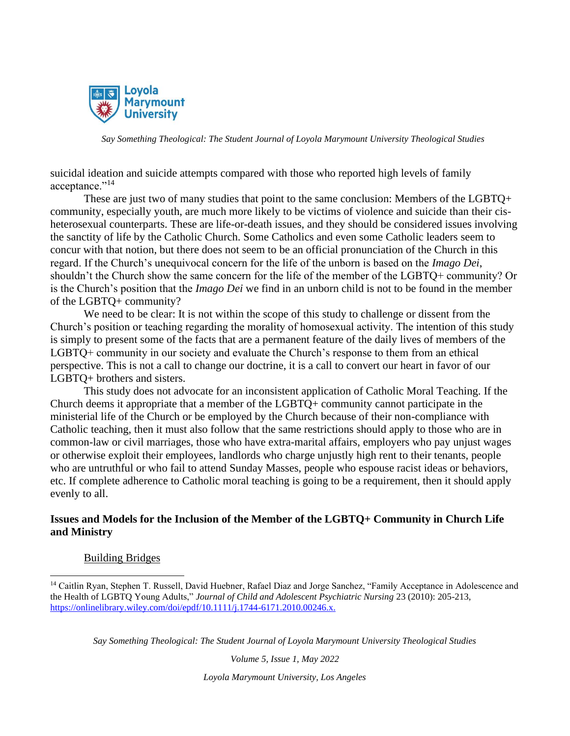

suicidal ideation and suicide attempts compared with those who reported high levels of family acceptance."<sup>14</sup>

These are just two of many studies that point to the same conclusion: Members of the LGBTQ+ community, especially youth, are much more likely to be victims of violence and suicide than their cisheterosexual counterparts. These are life-or-death issues, and they should be considered issues involving the sanctity of life by the Catholic Church. Some Catholics and even some Catholic leaders seem to concur with that notion, but there does not seem to be an official pronunciation of the Church in this regard. If the Church's unequivocal concern for the life of the unborn is based on the *Imago Dei*, shouldn't the Church show the same concern for the life of the member of the LGBTQ+ community? Or is the Church's position that the *Imago Dei* we find in an unborn child is not to be found in the member of the LGBTQ+ community?

We need to be clear: It is not within the scope of this study to challenge or dissent from the Church's position or teaching regarding the morality of homosexual activity. The intention of this study is simply to present some of the facts that are a permanent feature of the daily lives of members of the LGBTQ+ community in our society and evaluate the Church's response to them from an ethical perspective. This is not a call to change our doctrine, it is a call to convert our heart in favor of our LGBTQ+ brothers and sisters.

This study does not advocate for an inconsistent application of Catholic Moral Teaching. If the Church deems it appropriate that a member of the LGBTQ+ community cannot participate in the ministerial life of the Church or be employed by the Church because of their non-compliance with Catholic teaching, then it must also follow that the same restrictions should apply to those who are in common-law or civil marriages, those who have extra-marital affairs, employers who pay unjust wages or otherwise exploit their employees, landlords who charge unjustly high rent to their tenants, people who are untruthful or who fail to attend Sunday Masses, people who espouse racist ideas or behaviors, etc. If complete adherence to Catholic moral teaching is going to be a requirement, then it should apply evenly to all.

## **Issues and Models for the Inclusion of the Member of the LGBTQ+ Community in Church Life and Ministry**

#### Building Bridges

*Say Something Theological: The Student Journal of Loyola Marymount University Theological Studies*

*Volume 5, Issue 1, May 2022*

<sup>&</sup>lt;sup>14</sup> Caitlin Ryan, Stephen T. Russell, David Huebner, Rafael Diaz and Jorge Sanchez, "Family Acceptance in Adolescence and the Health of LGBTQ Young Adults," *Journal of Child and Adolescent Psychiatric Nursing* 23 (2010): 205-213, <https://onlinelibrary.wiley.com/doi/epdf/10.1111/j.1744-6171.2010.00246.x.>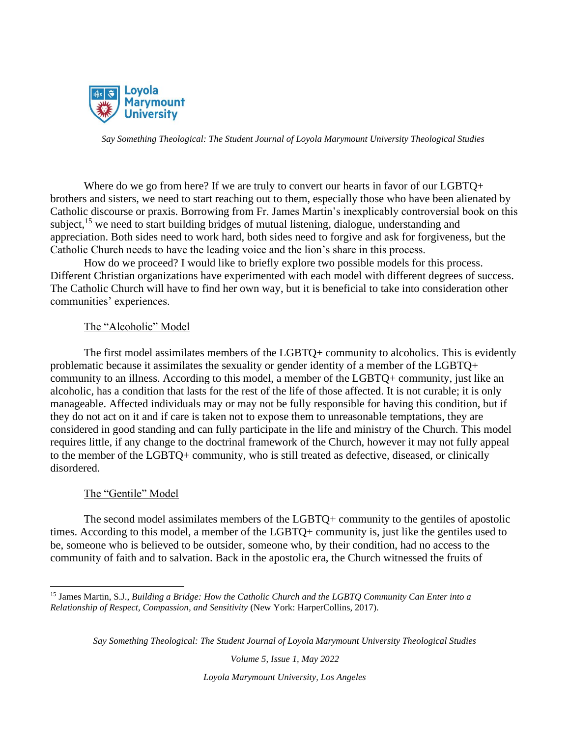

Where do we go from here? If we are truly to convert our hearts in favor of our LGBTQ+ brothers and sisters, we need to start reaching out to them, especially those who have been alienated by Catholic discourse or praxis. Borrowing from Fr. James Martin's inexplicably controversial book on this subject,  $^{15}$  we need to start building bridges of mutual listening, dialogue, understanding and appreciation. Both sides need to work hard, both sides need to forgive and ask for forgiveness, but the Catholic Church needs to have the leading voice and the lion's share in this process.

How do we proceed? I would like to briefly explore two possible models for this process. Different Christian organizations have experimented with each model with different degrees of success. The Catholic Church will have to find her own way, but it is beneficial to take into consideration other communities' experiences.

#### The "Alcoholic" Model

The first model assimilates members of the LGBTQ+ community to alcoholics. This is evidently problematic because it assimilates the sexuality or gender identity of a member of the LGBTQ+ community to an illness. According to this model, a member of the LGBTQ+ community, just like an alcoholic, has a condition that lasts for the rest of the life of those affected. It is not curable; it is only manageable. Affected individuals may or may not be fully responsible for having this condition, but if they do not act on it and if care is taken not to expose them to unreasonable temptations, they are considered in good standing and can fully participate in the life and ministry of the Church. This model requires little, if any change to the doctrinal framework of the Church, however it may not fully appeal to the member of the LGBTQ+ community, who is still treated as defective, diseased, or clinically disordered.

#### The "Gentile" Model

The second model assimilates members of the LGBTQ+ community to the gentiles of apostolic times. According to this model, a member of the LGBTQ+ community is, just like the gentiles used to be, someone who is believed to be outsider, someone who, by their condition, had no access to the community of faith and to salvation. Back in the apostolic era, the Church witnessed the fruits of

*Say Something Theological: The Student Journal of Loyola Marymount University Theological Studies*

*Volume 5, Issue 1, May 2022*

<sup>15</sup> James Martin, S.J., *Building a Bridge: How the Catholic Church and the LGBTQ Community Can Enter into a Relationship of Respect, Compassion, and Sensitivity* (New York: HarperCollins, 2017).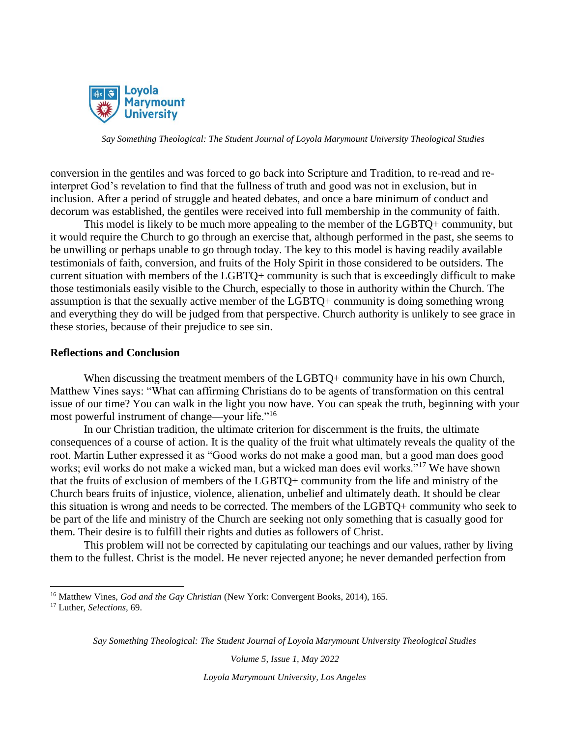

conversion in the gentiles and was forced to go back into Scripture and Tradition, to re-read and reinterpret God's revelation to find that the fullness of truth and good was not in exclusion, but in inclusion. After a period of struggle and heated debates, and once a bare minimum of conduct and decorum was established, the gentiles were received into full membership in the community of faith.

This model is likely to be much more appealing to the member of the LGBTQ+ community, but it would require the Church to go through an exercise that, although performed in the past, she seems to be unwilling or perhaps unable to go through today. The key to this model is having readily available testimonials of faith, conversion, and fruits of the Holy Spirit in those considered to be outsiders. The current situation with members of the LGBTQ+ community is such that is exceedingly difficult to make those testimonials easily visible to the Church, especially to those in authority within the Church. The assumption is that the sexually active member of the LGBTQ+ community is doing something wrong and everything they do will be judged from that perspective. Church authority is unlikely to see grace in these stories, because of their prejudice to see sin.

#### **Reflections and Conclusion**

When discussing the treatment members of the LGBTQ+ community have in his own Church, Matthew Vines says: "What can affirming Christians do to be agents of transformation on this central issue of our time? You can walk in the light you now have. You can speak the truth, beginning with your most powerful instrument of change—your life."<sup>16</sup>

In our Christian tradition, the ultimate criterion for discernment is the fruits, the ultimate consequences of a course of action. It is the quality of the fruit what ultimately reveals the quality of the root. Martin Luther expressed it as "Good works do not make a good man, but a good man does good works; evil works do not make a wicked man, but a wicked man does evil works."<sup>17</sup> We have shown that the fruits of exclusion of members of the LGBTQ+ community from the life and ministry of the Church bears fruits of injustice, violence, alienation, unbelief and ultimately death. It should be clear this situation is wrong and needs to be corrected. The members of the LGBTQ+ community who seek to be part of the life and ministry of the Church are seeking not only something that is casually good for them. Their desire is to fulfill their rights and duties as followers of Christ.

This problem will not be corrected by capitulating our teachings and our values, rather by living them to the fullest. Christ is the model. He never rejected anyone; he never demanded perfection from

*Volume 5, Issue 1, May 2022*

<sup>&</sup>lt;sup>16</sup> Matthew Vines, *God and the Gay Christian* (New York: Convergent Books, 2014), 165.

<sup>17</sup> Luther, *Selections,* 69.

*Say Something Theological: The Student Journal of Loyola Marymount University Theological Studies*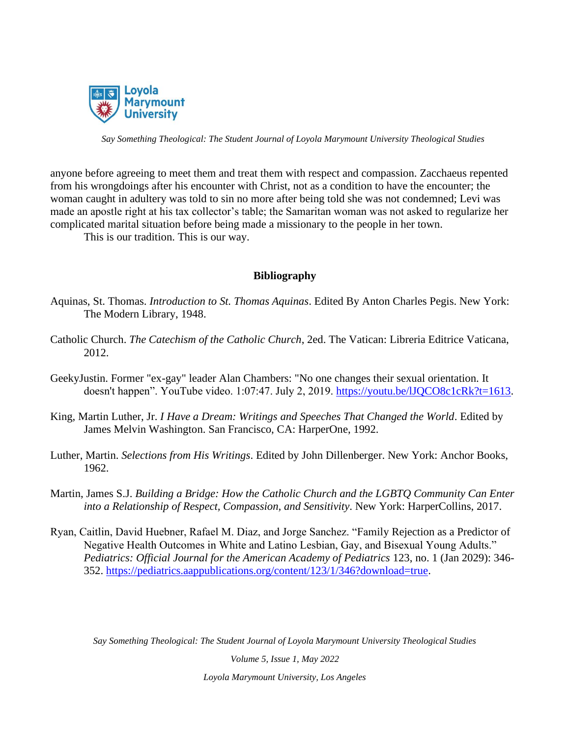

anyone before agreeing to meet them and treat them with respect and compassion. Zacchaeus repented from his wrongdoings after his encounter with Christ, not as a condition to have the encounter; the woman caught in adultery was told to sin no more after being told she was not condemned; Levi was made an apostle right at his tax collector's table; the Samaritan woman was not asked to regularize her complicated marital situation before being made a missionary to the people in her town.

This is our tradition. This is our way.

## **Bibliography**

- Aquinas, St. Thomas. *Introduction to St. Thomas Aquinas*. Edited By Anton Charles Pegis. New York: The Modern Library, 1948.
- Catholic Church. *The Catechism of the Catholic Church*, 2ed. The Vatican: Libreria Editrice Vaticana, 2012.
- GeekyJustin. Former "ex-gay" leader Alan Chambers: "No one changes their sexual orientation. It doesn't happen". YouTube video. 1:07:47. July 2, 2019. https://youtu.be/IJQCO8c1cRk?t=1613.
- King, Martin Luther, Jr. *I Have a Dream: Writings and Speeches That Changed the World*. Edited by James Melvin Washington. San Francisco, CA: HarperOne, 1992.
- Luther, Martin. *Selections from His Writings*. Edited by John Dillenberger. New York: Anchor Books, 1962.
- Martin, James S.J. *Building a Bridge: How the Catholic Church and the LGBTQ Community Can Enter into a Relationship of Respect, Compassion, and Sensitivity*. New York: HarperCollins, 2017.
- Ryan, Caitlin, David Huebner, Rafael M. Diaz, and Jorge Sanchez. "Family Rejection as a Predictor of Negative Health Outcomes in White and Latino Lesbian, Gay, and Bisexual Young Adults." *Pediatrics: Official Journal for the American Academy of Pediatrics* 123, no. 1 (Jan 2029): 346- 352. [https://pediatrics.aappublications.org/content/123/1/346?download=true.](https://pediatrics.aappublications.org/content/123/1/346?download=true)

*Say Something Theological: The Student Journal of Loyola Marymount University Theological Studies*